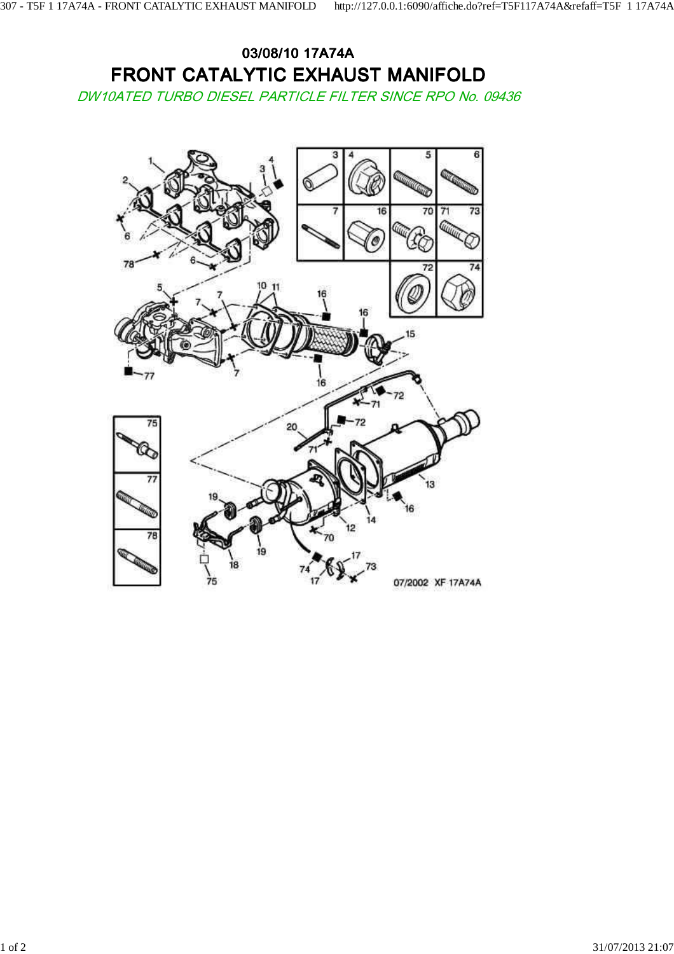## 03/08/10 17A74A FRONT CATALYTIC EXHAUST MANIFOLD

DW10ATED TURBO DIESEL PARTICLE FILTER SINCE RPO No. 09436